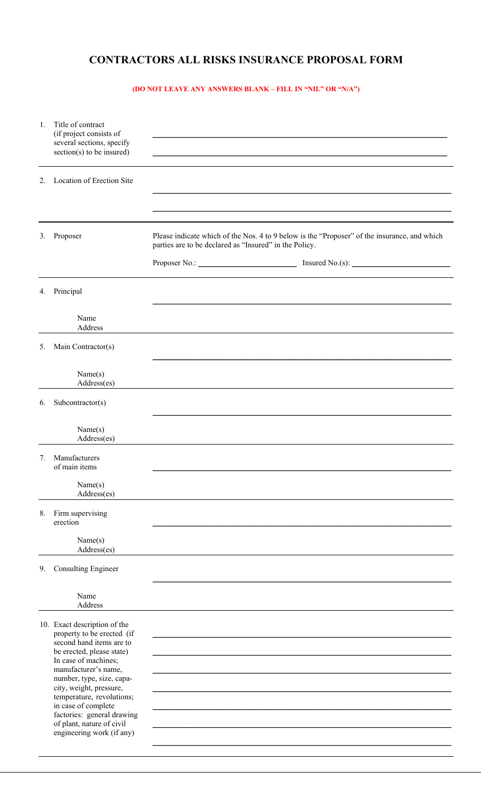## **CONTRACTORS ALL RISKS INSURANCE PROPOSAL FORM**

## **(DO NOT LEAVE ANY ANSWERS BLANK – FILL IN "NIL" OR "N/A")**

| 1. | Title of contract<br>(if project consists of<br>several sections, specify<br>$section(s)$ to be insured)                                                                                                                                                                                                                                                                |                                                                                                                                                        |
|----|-------------------------------------------------------------------------------------------------------------------------------------------------------------------------------------------------------------------------------------------------------------------------------------------------------------------------------------------------------------------------|--------------------------------------------------------------------------------------------------------------------------------------------------------|
| 2. | Location of Erection Site                                                                                                                                                                                                                                                                                                                                               |                                                                                                                                                        |
| 3. | Proposer                                                                                                                                                                                                                                                                                                                                                                | Please indicate which of the Nos. 4 to 9 below is the "Proposer" of the insurance, and which<br>parties are to be declared as "Insured" in the Policy. |
|    | 4. Principal                                                                                                                                                                                                                                                                                                                                                            |                                                                                                                                                        |
|    | Name<br>Address                                                                                                                                                                                                                                                                                                                                                         |                                                                                                                                                        |
| 5. | Main Contractor(s)                                                                                                                                                                                                                                                                                                                                                      |                                                                                                                                                        |
|    | Name(s)<br>Address(es)                                                                                                                                                                                                                                                                                                                                                  |                                                                                                                                                        |
| 6. | Subcontractor(s)                                                                                                                                                                                                                                                                                                                                                        |                                                                                                                                                        |
|    | Name(s)<br>Address(es)                                                                                                                                                                                                                                                                                                                                                  |                                                                                                                                                        |
|    | 7. Manufacturers<br>of main items                                                                                                                                                                                                                                                                                                                                       |                                                                                                                                                        |
|    | Name(s)<br>Address(es)                                                                                                                                                                                                                                                                                                                                                  |                                                                                                                                                        |
| 8. | Firm supervising<br>erection                                                                                                                                                                                                                                                                                                                                            |                                                                                                                                                        |
|    | Name(s)<br>Address(es)                                                                                                                                                                                                                                                                                                                                                  |                                                                                                                                                        |
| 9. | <b>Consulting Engineer</b>                                                                                                                                                                                                                                                                                                                                              |                                                                                                                                                        |
|    | Name<br>Address                                                                                                                                                                                                                                                                                                                                                         |                                                                                                                                                        |
|    | 10. Exact description of the<br>property to be erected (if<br>second hand items are to<br>be erected, please state)<br>In case of machines;<br>manufacturer's name,<br>number, type, size, capa-<br>city, weight, pressure,<br>temperature, revolutions;<br>in case of complete<br>factories: general drawing<br>of plant, nature of civil<br>engineering work (if any) |                                                                                                                                                        |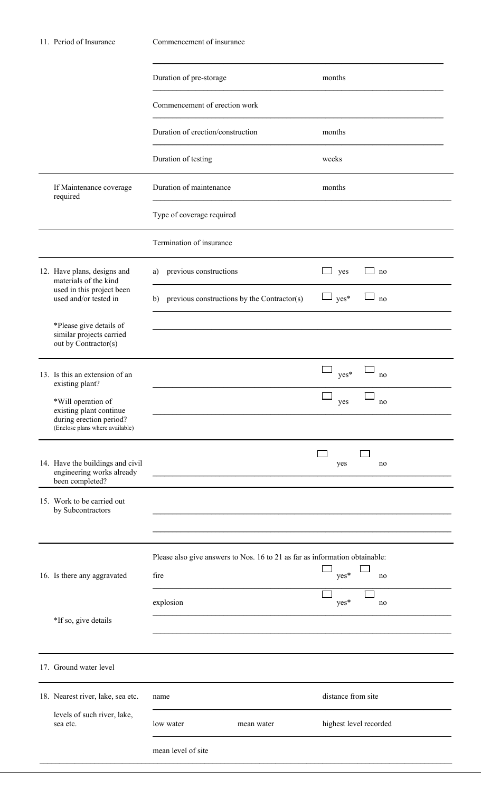| 11. Period of Insurance |                                                                                                             | Commencement of insurance                                                   |                                            |  |
|-------------------------|-------------------------------------------------------------------------------------------------------------|-----------------------------------------------------------------------------|--------------------------------------------|--|
|                         |                                                                                                             | Duration of pre-storage                                                     | months                                     |  |
|                         |                                                                                                             | Commencement of erection work                                               |                                            |  |
|                         |                                                                                                             | Duration of erection/construction                                           | months                                     |  |
|                         |                                                                                                             | Duration of testing                                                         | weeks                                      |  |
|                         | If Maintenance coverage<br>required                                                                         | Duration of maintenance                                                     | months                                     |  |
|                         |                                                                                                             | Type of coverage required                                                   |                                            |  |
|                         |                                                                                                             | Termination of insurance                                                    |                                            |  |
|                         | 12. Have plans, designs and<br>materials of the kind<br>used in this project been<br>used and/or tested in  | a) previous constructions                                                   | yes<br>no                                  |  |
|                         |                                                                                                             | b) previous constructions by the Contractor(s)                              | $\Box$ yes <sup>*</sup><br>J <sub>no</sub> |  |
|                         | *Please give details of<br>similar projects carried                                                         |                                                                             |                                            |  |
|                         | out by Contractor(s)                                                                                        |                                                                             |                                            |  |
|                         | 13. Is this an extension of an<br>existing plant?                                                           |                                                                             | yes*<br>no                                 |  |
|                         | *Will operation of<br>existing plant continue<br>during erection period?<br>(Enclose plans where available) |                                                                             | no<br>yes                                  |  |
|                         |                                                                                                             |                                                                             |                                            |  |
|                         | 14. Have the buildings and civil<br>engineering works already<br>been completed?                            |                                                                             | yes<br>no                                  |  |
|                         | 15. Work to be carried out<br>by Subcontractors                                                             |                                                                             |                                            |  |
|                         |                                                                                                             |                                                                             |                                            |  |
|                         |                                                                                                             | Please also give answers to Nos. 16 to 21 as far as information obtainable: |                                            |  |
|                         | 16. Is there any aggravated                                                                                 | fire                                                                        | yes*<br>no                                 |  |
|                         |                                                                                                             | explosion                                                                   | yes*<br>no                                 |  |
|                         | *If so, give details                                                                                        |                                                                             |                                            |  |
|                         | 17. Ground water level                                                                                      |                                                                             |                                            |  |
|                         | 18. Nearest river, lake, sea etc.                                                                           | name                                                                        | distance from site                         |  |
|                         | levels of such river, lake,<br>sea etc.                                                                     | low water<br>mean water                                                     | highest level recorded                     |  |
|                         |                                                                                                             | mean level of site                                                          |                                            |  |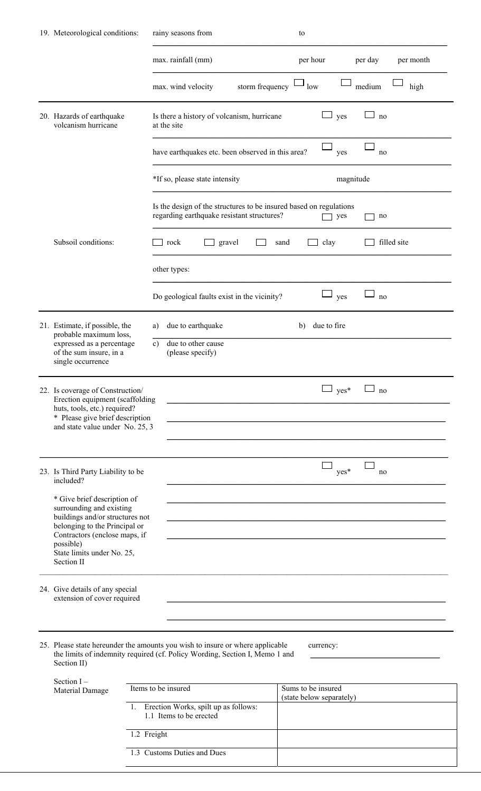|                                                                                                                                     | 19. Meteorological conditions:                                                                                                                                                           | rainy seasons from                                                                                               | to                       |                      |
|-------------------------------------------------------------------------------------------------------------------------------------|------------------------------------------------------------------------------------------------------------------------------------------------------------------------------------------|------------------------------------------------------------------------------------------------------------------|--------------------------|----------------------|
|                                                                                                                                     |                                                                                                                                                                                          | max. rainfall (mm)                                                                                               | per hour                 | per day<br>per month |
|                                                                                                                                     |                                                                                                                                                                                          | storm frequency<br>max. wind velocity                                                                            | low                      | medium<br>high       |
|                                                                                                                                     | 20. Hazards of earthquake<br>volcanism hurricane                                                                                                                                         | Is there a history of volcanism, hurricane<br>at the site                                                        | yes                      | no                   |
|                                                                                                                                     |                                                                                                                                                                                          | have earthquakes etc. been observed in this area?                                                                | yes                      | no                   |
|                                                                                                                                     |                                                                                                                                                                                          | *If so, please state intensity                                                                                   | magnitude                |                      |
|                                                                                                                                     |                                                                                                                                                                                          | Is the design of the structures to be insured based on regulations<br>regarding earthquake resistant structures? | yes                      | no                   |
|                                                                                                                                     | Subsoil conditions:                                                                                                                                                                      | rock<br>$\Box$ gravel                                                                                            | clay<br>sand             | filled site          |
|                                                                                                                                     |                                                                                                                                                                                          | other types:                                                                                                     |                          |                      |
|                                                                                                                                     |                                                                                                                                                                                          | Do geological faults exist in the vicinity?                                                                      | yes                      | no                   |
|                                                                                                                                     | 21. Estimate, if possible, the<br>probable maximum loss,                                                                                                                                 | due to earthquake<br>a)                                                                                          | due to fire<br>b)        |                      |
| expressed as a percentage<br>due to other cause<br>$\mathbf{c}$<br>of the sum insure, in a<br>(please specify)<br>single occurrence |                                                                                                                                                                                          |                                                                                                                  |                          |                      |
|                                                                                                                                     | 22. Is coverage of Construction/<br>Erection equipment (scaffolding                                                                                                                      |                                                                                                                  | $yes*$                   | no                   |
|                                                                                                                                     | huts, tools, etc.) required?<br>* Please give brief description<br>and state value under No. 25, 3                                                                                       |                                                                                                                  |                          |                      |
|                                                                                                                                     | 23. Is Third Party Liability to be<br>included?                                                                                                                                          |                                                                                                                  | yes*                     | no                   |
|                                                                                                                                     | * Give brief description of<br>surrounding and existing                                                                                                                                  |                                                                                                                  |                          |                      |
|                                                                                                                                     | buildings and/or structures not<br>belonging to the Principal or<br>Contractors (enclose maps, if                                                                                        |                                                                                                                  |                          |                      |
|                                                                                                                                     | possible)<br>State limits under No. 25,<br>Section II                                                                                                                                    |                                                                                                                  |                          |                      |
|                                                                                                                                     | 24. Give details of any special<br>extension of cover required                                                                                                                           |                                                                                                                  |                          |                      |
|                                                                                                                                     |                                                                                                                                                                                          |                                                                                                                  |                          |                      |
|                                                                                                                                     | 25. Please state hereunder the amounts you wish to insure or where applicable<br>currency:<br>the limits of indemnity required (cf. Policy Wording, Section I, Memo 1 and<br>Section II) |                                                                                                                  |                          |                      |
|                                                                                                                                     | Section $I -$<br>Material Damage                                                                                                                                                         | Items to be insured                                                                                              | Sums to be insured       |                      |
|                                                                                                                                     |                                                                                                                                                                                          | 1. Erection Works, spilt up as follows:<br>1.1 Items to be erected                                               | (state below separately) |                      |
|                                                                                                                                     |                                                                                                                                                                                          | 1.2 Freight                                                                                                      |                          |                      |

| 1.3 Customs Duties and Dues |
|-----------------------------|